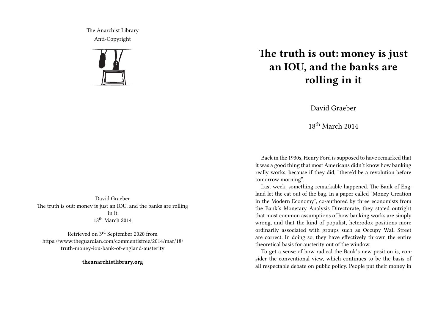The Anarchist Library Anti-Copyright



## **The truth is out: money is just an IOU, and the banks are rolling in it**

David Graeber

18th March 2014

Back in the 1930s, Henry Ford is supposed to have remarked that it was a good thing that most Americans didn't know how banking really works, because if they did, "there'd be a revolution before tomorrow morning".

Last week, something remarkable happened. The Bank of England let the cat out of the bag. In a paper called "Money Creation in the Modern Economy", co-authored by three economists from the Bank's Monetary Analysis Directorate, they stated outright that most common assumptions of how banking works are simply wrong, and that the kind of populist, heterodox positions more ordinarily associated with groups such as Occupy Wall Street are correct. In doing so, they have effectively thrown the entire theoretical basis for austerity out of the window.

To get a sense of how radical the Bank's new position is, consider the conventional view, which continues to be the basis of all respectable debate on public policy. People put their money in

David Graeber The truth is out: money is just an IOU, and the banks are rolling in it 18th March 2014

Retrieved on 3rd September 2020 from https://www.theguardian.com/commentisfree/2014/mar/18/ truth-money-iou-bank-of-england-austerity

**theanarchistlibrary.org**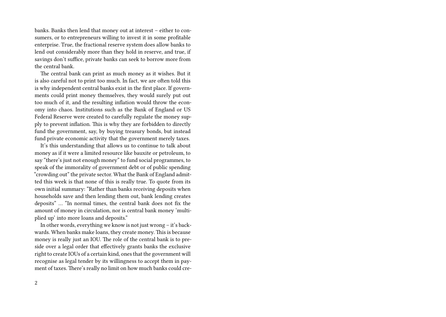banks. Banks then lend that money out at interest – either to consumers, or to entrepreneurs willing to invest it in some profitable enterprise. True, the fractional reserve system does allow banks to lend out considerably more than they hold in reserve, and true, if savings don't suffice, private banks can seek to borrow more from the central bank.

The central bank can print as much money as it wishes. But it is also careful not to print too much. In fact, we are often told this is why independent central banks exist in the first place. If governments could print money themselves, they would surely put out too much of it, and the resulting inflation would throw the economy into chaos. Institutions such as the Bank of England or US Federal Reserve were created to carefully regulate the money supply to prevent inflation. This is why they are forbidden to directly fund the government, say, by buying treasury bonds, but instead fund private economic activity that the government merely taxes.

It's this understanding that allows us to continue to talk about money as if it were a limited resource like bauxite or petroleum, to say "there's just not enough money" to fund social programmes, to speak of the immorality of government debt or of public spending "crowding out" the private sector. What the Bank of England admitted this week is that none of this is really true. To quote from its own initial summary: "Rather than banks receiving deposits when households save and then lending them out, bank lending creates deposits" … "In normal times, the central bank does not fix the amount of money in circulation, nor is central bank money 'multiplied up' into more loans and deposits."

In other words, everything we know is not just wrong – it's backwards. When banks make loans, they create money. This is because money is really just an IOU. The role of the central bank is to preside over a legal order that effectively grants banks the exclusive right to create IOUs of a certain kind, ones that the government will recognise as legal tender by its willingness to accept them in payment of taxes. There's really no limit on how much banks could cre-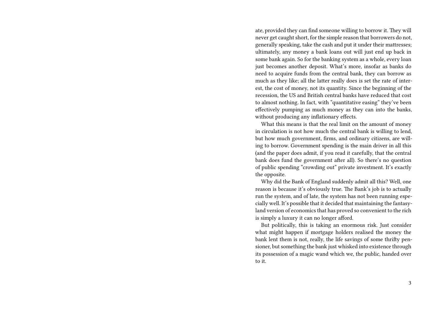ate, provided they can find someone willing to borrow it. They will never get caught short, for the simple reason that borrowers do not, generally speaking, take the cash and put it under their mattresses; ultimately, any money a bank loans out will just end up back in some bank again. So for the banking system as a whole, every loan just becomes another deposit. What's more, insofar as banks do need to acquire funds from the central bank, they can borrow as much as they like; all the latter really does is set the rate of interest, the cost of money, not its quantity. Since the beginning of the recession, the US and British central banks have reduced that cost to almost nothing. In fact, with "quantitative easing" they've been effectively pumping as much money as they can into the banks, without producing any inflationary effects.

What this means is that the real limit on the amount of money in circulation is not how much the central bank is willing to lend, but how much government, firms, and ordinary citizens, are willing to borrow. Government spending is the main driver in all this (and the paper does admit, if you read it carefully, that the central bank does fund the government after all). So there's no question of public spending "crowding out" private investment. It's exactly the opposite.

Why did the Bank of England suddenly admit all this? Well, one reason is because it's obviously true. The Bank's job is to actually run the system, and of late, the system has not been running especially well. It's possible that it decided that maintaining the fantasyland version of economics that has proved so convenient to the rich is simply a luxury it can no longer afford.

But politically, this is taking an enormous risk. Just consider what might happen if mortgage holders realised the money the bank lent them is not, really, the life savings of some thrifty pensioner, but something the bank just whisked into existence through its possession of a magic wand which we, the public, handed over to it.